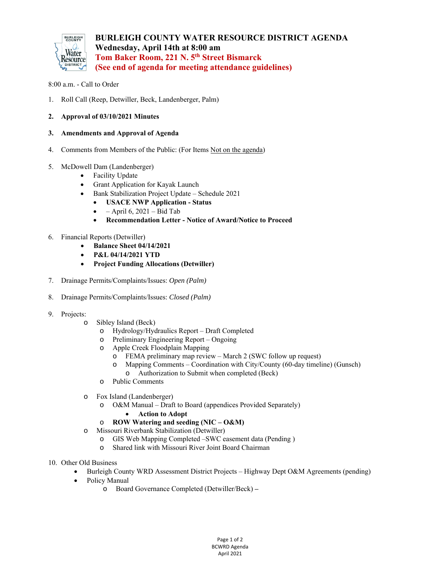

## 8:00 a.m. - Call to Order

- 1. Roll Call (Reep, Detwiller, Beck, Landenberger, Palm)
- **2. Approval of 03/10/2021 Minutes**
- **3. Amendments and Approval of Agenda**
- 4. Comments from Members of the Public: (For Items Not on the agenda)
- 5. McDowell Dam (Landenberger)
	- Facility Update
	- Grant Application for Kayak Launch
	- Bank Stabilization Project Update Schedule 2021
		- **USACE NWP Application Status**
		- April 6, 2021 Bid Tab
		- **Recommendation Letter Notice of Award/Notice to Proceed**
- 6. Financial Reports (Detwiller)
	- **Balance Sheet 04/14/2021**
	- **P&L 04/14/2021 YTD**
	- **Project Funding Allocations (Detwiller)**
- 7. Drainage Permits/Complaints/Issues: *Open (Palm)*
- 8. Drainage Permits/Complaints/Issues: *Closed (Palm)*
- 9. Projects:
	- o Sibley Island (Beck)
		- o Hydrology/Hydraulics Report Draft Completed
		- o Preliminary Engineering Report Ongoing
		- o Apple Creek Floodplain Mapping
			- o FEMA preliminary map review March 2 (SWC follow up request)
			- o Mapping Comments Coordination with City/County (60-day timeline) (Gunsch) o Authorization to Submit when completed (Beck)
		- o Public Comments
	- o Fox Island (Landenberger)
		- o O&M Manual Draft to Board (appendices Provided Separately)
			- **Action to Adopt**
		- o **ROW Watering and seeding (NIC O&M)**
	- o Missouri Riverbank Stabilization (Detwiller)
		- o GIS Web Mapping Completed –SWC easement data (Pending )
		- o Shared link with Missouri River Joint Board Chairman
- 10. Other Old Business
	- Burleigh County WRD Assessment District Projects Highway Dept O&M Agreements (pending)
	- Policy Manual
		- o Board Governance Completed (Detwiller/Beck)